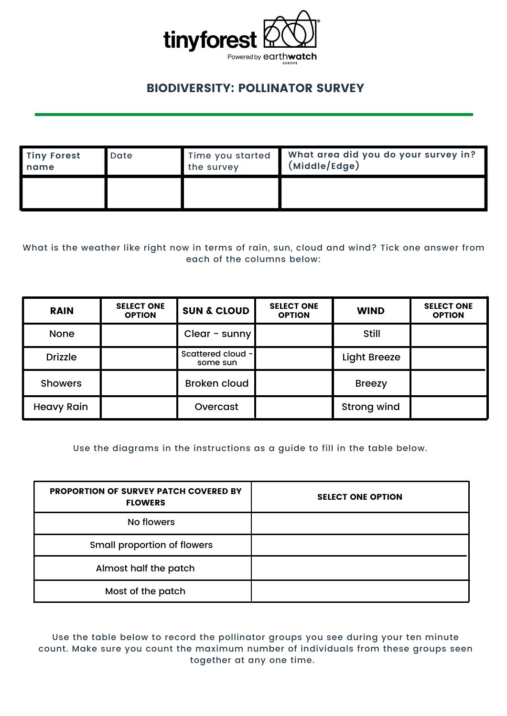

## BIODIVERSITY: POLLINATOR SURVEY

| <b>Tiny Forest</b> | Date | Time you started | What area did you do your survey in? |
|--------------------|------|------------------|--------------------------------------|
| name               |      | the survey       | (Middle/Edge)                        |
|                    |      |                  |                                      |

What is the weather like right now in terms of rain, sun, cloud and wind? Tick one answer from each of the columns below:

| <b>RAIN</b>       | <b>SELECT ONE</b><br><b>OPTION</b> | <b>SUN &amp; CLOUD</b>        | <b>SELECT ONE</b><br><b>OPTION</b> | <b>WIND</b>         | <b>SELECT ONE</b><br><b>OPTION</b> |
|-------------------|------------------------------------|-------------------------------|------------------------------------|---------------------|------------------------------------|
| <b>None</b>       |                                    | Clear - sunny                 |                                    | <b>Still</b>        |                                    |
| <b>Drizzle</b>    |                                    | Scattered cloud -<br>some sun |                                    | <b>Light Breeze</b> |                                    |
| <b>Showers</b>    |                                    | <b>Broken cloud</b>           |                                    | <b>Breezy</b>       |                                    |
| <b>Heavy Rain</b> |                                    | Overcast                      |                                    | <b>Strong wind</b>  |                                    |

Use the diagrams in the instructions as a guide to fill in the table below.

| <b>PROPORTION OF SURVEY PATCH COVERED BY</b><br><b>FLOWERS</b> | <b>SELECT ONE OPTION</b> |
|----------------------------------------------------------------|--------------------------|
| No flowers                                                     |                          |
| <b>Small proportion of flowers</b>                             |                          |
| Almost half the patch                                          |                          |
| Most of the patch                                              |                          |

Use the table below to record the pollinator groups you see during your ten minute count. Make sure you count the maximum number of individuals from these groups seen together at any one time.